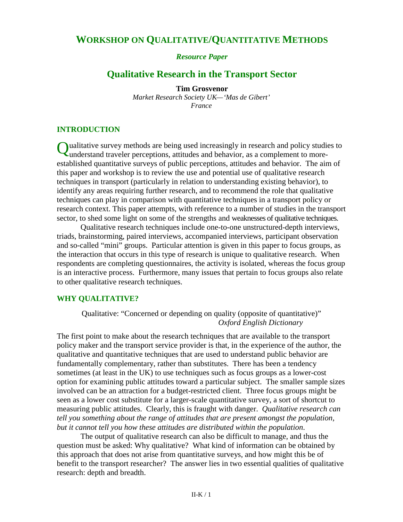# **WORKSHOP ON QUALITATIVE/QUANTITATIVE METHODS**

*Resource Paper*

# **Qualitative Research in the Transport Sector**

**Tim Grosvenor** *Market Research Society UK—'Mas de Gibert' France*

#### **INTRODUCTION**

Qualitative survey methods are being used increasingly in research and policy studies to<br>
Qualitative survey methods are being used increasingly in research and policy studies to understand traveler perceptions, attitudes and behavior, as a complement to moreestablished quantitative surveys of public perceptions, attitudes and behavior. The aim of this paper and workshop is to review the use and potential use of qualitative research techniques in transport (particularly in relation to understanding existing behavior), to identify any areas requiring further research, and to recommend the role that qualitative techniques can play in comparison with quantitative techniques in a transport policy or research context. This paper attempts, with reference to a number of studies in the transport sector, to shed some light on some of the strengths and weaknesses of qualitative techniques.

Qualitative research techniques include one-to-one unstructured-depth interviews, triads, brainstorming, paired interviews, accompanied interviews, participant observation and so-called "mini" groups. Particular attention is given in this paper to focus groups, as the interaction that occurs in this type of research is unique to qualitative research. When respondents are completing questionnaires, the activity is isolated, whereas the focus group is an interactive process. Furthermore, many issues that pertain to focus groups also relate to other qualitative research techniques.

#### **WHY QUALITATIVE?**

Qualitative: "Concerned or depending on quality (opposite of quantitative)" *Oxford English Dictionary*

The first point to make about the research techniques that are available to the transport policy maker and the transport service provider is that, in the experience of the author, the qualitative and quantitative techniques that are used to understand public behavior are fundamentally complementary, rather than substitutes. There has been a tendency sometimes (at least in the UK) to use techniques such as focus groups as a lower-cost option for examining public attitudes toward a particular subject. The smaller sample sizes involved can be an attraction for a budget-restricted client. Three focus groups might be seen as a lower cost substitute for a larger-scale quantitative survey, a sort of shortcut to measuring public attitudes. Clearly, this is fraught with danger. *Qualitative research can tell you something about the range of attitudes that are present amongst the population, but it cannot tell you how these attitudes are distributed within the population*.

The output of qualitative research can also be difficult to manage, and thus the question must be asked: Why qualitative? What kind of information can be obtained by this approach that does not arise from quantitative surveys, and how might this be of benefit to the transport researcher? The answer lies in two essential qualities of qualitative research: depth and breadth.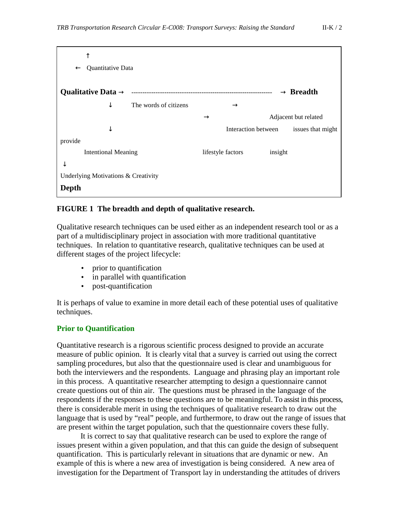| Quantitative Data<br>$\leftarrow$   |                     |                       |
|-------------------------------------|---------------------|-----------------------|
| Qualitative Data $\rightarrow$      |                     | $\rightarrow$ Breadth |
| The words of citizens<br>↓          | $\rightarrow$       |                       |
|                                     | $\rightarrow$       | Adjacent but related  |
| ◡                                   | Interaction between | issues that might     |
| provide                             |                     |                       |
| <b>Intentional Meaning</b><br>↓     | lifestyle factors   | insight               |
| Underlying Motivations & Creativity |                     |                       |
| Depth                               |                     |                       |

#### **FIGURE 1 The breadth and depth of qualitative research.**

Qualitative research techniques can be used either as an independent research tool or as a part of a multidisciplinary project in association with more traditional quantitative techniques. In relation to quantitative research, qualitative techniques can be used at different stages of the project lifecycle:

- prior to quantification
- in parallel with quantification
- post-quantification

It is perhaps of value to examine in more detail each of these potential uses of qualitative techniques.

## **Prior to Quantification**

Quantitative research is a rigorous scientific process designed to provide an accurate measure of public opinion. It is clearly vital that a survey is carried out using the correct sampling procedures, but also that the questionnaire used is clear and unambiguous for both the interviewers and the respondents. Language and phrasing play an important role in this process. A quantitative researcher attempting to design a questionnaire cannot create questions out of thin air. The questions must be phrased in the language of the respondents if the responses to these questions are to be meaningful. To assist in this process, there is considerable merit in using the techniques of qualitative research to draw out the language that is used by "real" people, and furthermore, to draw out the range of issues that are present within the target population, such that the questionnaire covers these fully.

It is correct to say that qualitative research can be used to explore the range of issues present within a given population, and that this can guide the design of subsequent quantification. This is particularly relevant in situations that are dynamic or new. An example of this is where a new area of investigation is being considered. A new area of investigation for the Department of Transport lay in understanding the attitudes of drivers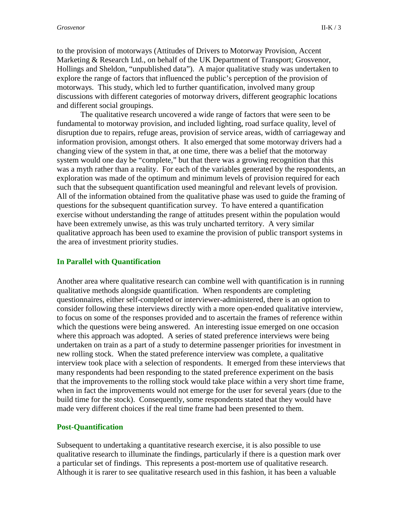to the provision of motorways (Attitudes of Drivers to Motorway Provision, Accent Marketing & Research Ltd., on behalf of the UK Department of Transport; Grosvenor, Hollings and Sheldon, "unpublished data"). A major qualitative study was undertaken to explore the range of factors that influenced the public's perception of the provision of motorways. This study, which led to further quantification, involved many group discussions with different categories of motorway drivers, different geographic locations and different social groupings.

The qualitative research uncovered a wide range of factors that were seen to be fundamental to motorway provision, and included lighting, road surface quality, level of disruption due to repairs, refuge areas, provision of service areas, width of carriageway and information provision, amongst others. It also emerged that some motorway drivers had a changing view of the system in that, at one time, there was a belief that the motorway system would one day be "complete," but that there was a growing recognition that this was a myth rather than a reality. For each of the variables generated by the respondents, an exploration was made of the optimum and minimum levels of provision required for each such that the subsequent quantification used meaningful and relevant levels of provision. All of the information obtained from the qualitative phase was used to guide the framing of questions for the subsequent quantification survey. To have entered a quantification exercise without understanding the range of attitudes present within the population would have been extremely unwise, as this was truly uncharted territory. A very similar qualitative approach has been used to examine the provision of public transport systems in the area of investment priority studies.

#### **In Parallel with Quantification**

Another area where qualitative research can combine well with quantification is in running qualitative methods alongside quantification. When respondents are completing questionnaires, either self-completed or interviewer-administered, there is an option to consider following these interviews directly with a more open-ended qualitative interview, to focus on some of the responses provided and to ascertain the frames of reference within which the questions were being answered. An interesting issue emerged on one occasion where this approach was adopted. A series of stated preference interviews were being undertaken on train as a part of a study to determine passenger priorities for investment in new rolling stock. When the stated preference interview was complete, a qualitative interview took place with a selection of respondents. It emerged from these interviews that many respondents had been responding to the stated preference experiment on the basis that the improvements to the rolling stock would take place within a very short time frame, when in fact the improvements would not emerge for the user for several years (due to the build time for the stock). Consequently, some respondents stated that they would have made very different choices if the real time frame had been presented to them.

#### **Post-Quantification**

Subsequent to undertaking a quantitative research exercise, it is also possible to use qualitative research to illuminate the findings, particularly if there is a question mark over a particular set of findings. This represents a post-mortem use of qualitative research. Although it is rarer to see qualitative research used in this fashion, it has been a valuable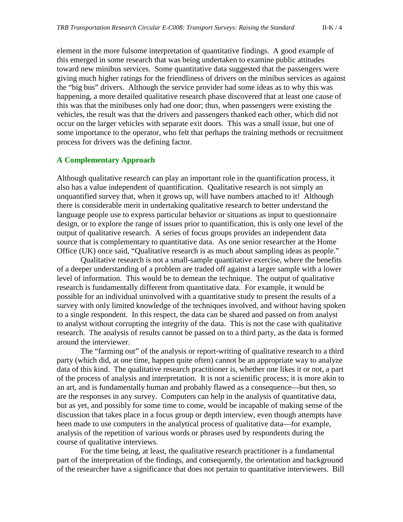element in the more fulsome interpretation of quantitative findings. A good example of this emerged in some research that was being undertaken to examine public attitudes toward new minibus services. Some quantitative data suggested that the passengers were giving much higher ratings for the friendliness of drivers on the minibus services as against the "big bus" drivers. Although the service provider had some ideas as to why this was happening, a more detailed qualitative research phase discovered that at least one cause of this was that the minibuses only had one door; thus, when passengers were existing the vehicles, the result was that the drivers and passengers thanked each other, which did not occur on the larger vehicles with separate exit doors. This was a small issue, but one of some importance to the operator, who felt that perhaps the training methods or recruitment process for drivers was the defining factor.

#### **A Complementary Approach**

Although qualitative research can play an important role in the quantification process, it also has a value independent of quantification. Qualitative research is not simply an unquantified survey that, when it grows up, will have numbers attached to it! Although there is considerable merit in undertaking qualitative research to better understand the language people use to express particular behavior or situations as input to questionnaire design, or to explore the range of issues prior to quantification, this is only one level of the output of qualitative research. A series of focus groups provides an independent data source that is complementary to quantitative data. As one senior researcher at the Home Office (UK) once said, "Qualitative research is as much about sampling ideas as people."

Qualitative research is not a small-sample quantitative exercise, where the benefits of a deeper understanding of a problem are traded off against a larger sample with a lower level of information. This would be to demean the technique. The output of qualitative research is fundamentally different from quantitative data. For example, it would be possible for an individual uninvolved with a quantitative study to present the results of a survey with only limited knowledge of the techniques involved, and without having spoken to a single respondent. In this respect, the data can be shared and passed on from analyst to analyst without corrupting the integrity of the data. This is not the case with qualitative research. The analysis of results cannot be passed on to a third party, as the data is formed around the interviewer.

The "farming out" of the analysis or report-writing of qualitative research to a third party (which did, at one time, happen quite often) cannot be an appropriate way to analyze data of this kind. The qualitative research practitioner is, whether one likes it or not, a part of the process of analysis and interpretation. It is not a scientific process; it is more akin to an art, and is fundamentally human and probably flawed as a consequence—but then, so are the responses in any survey. Computers can help in the analysis of quantitative data, but as yet, and possibly for some time to come, would be incapable of making sense of the discussion that takes place in a focus group or depth interview, even though attempts have been made to use computers in the analytical process of qualitative data—for example, analysis of the repetition of various words or phrases used by respondents during the course of qualitative interviews.

For the time being, at least, the qualitative research practitioner is a fundamental part of the interpretation of the findings, and consequently, the orientation and background of the researcher have a significance that does not pertain to quantitative interviewers. Bill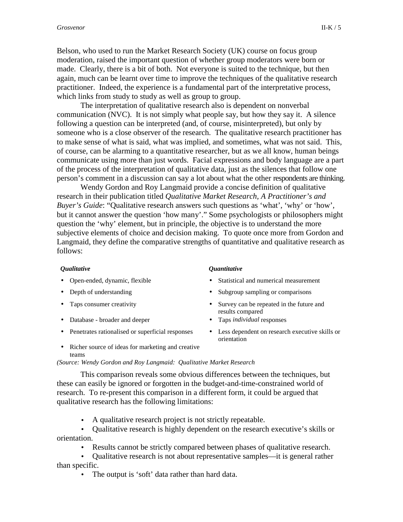Belson, who used to run the Market Research Society (UK) course on focus group moderation, raised the important question of whether group moderators were born or made. Clearly, there is a bit of both. Not everyone is suited to the technique, but then again, much can be learnt over time to improve the techniques of the qualitative research practitioner. Indeed, the experience is a fundamental part of the interpretative process, which links from study to study as well as group to group.

The interpretation of qualitative research also is dependent on nonverbal communication (NVC). It is not simply what people say, but how they say it. A silence following a question can be interpreted (and, of course, misinterpreted), but only by someone who is a close observer of the research. The qualitative research practitioner has to make sense of what is said, what was implied, and sometimes, what was not said. This, of course, can be alarming to a quantitative researcher, but as we all know, human beings communicate using more than just words. Facial expressions and body language are a part of the process of the interpretation of qualitative data, just as the silences that follow one person's comment in a discussion can say a lot about what the other respondents are thinking.

Wendy Gordon and Roy Langmaid provide a concise definition of qualitative research in their publication titled *Qualitative Market Research, A Practitioner's and Buyer's Guide*: "Qualitative research answers such questions as 'what', 'why' or 'how', but it cannot answer the question 'how many'." Some psychologists or philosophers might question the 'why' element, but in principle, the objective is to understand the more subjective elements of choice and decision making. To quote once more from Gordon and Langmaid, they define the comparative strengths of quantitative and qualitative research as follows:

#### *Qualitative Quantitative*

- 
- 
- 
- Database broader and deeper Taps *individual* responses
- Penetrates rationalised or superficial responses Less dependent on research executive skills or

- Open-ended, dynamic, flexible Statistical and numerical measurement
- Depth of understanding Subgroup sampling or comparisons
- Taps consumer creativity Survey can be repeated in the future and results compared
	-
	- orientation
- Richer source of ideas for marketing and creative teams

#### *(Source: Wendy Gordon and Roy Langmaid: Qualitative Market Research*

This comparison reveals some obvious differences between the techniques, but these can easily be ignored or forgotten in the budget-and-time-constrained world of research. To re-present this comparison in a different form, it could be argued that qualitative research has the following limitations:

- A qualitative research project is not strictly repeatable.
- Qualitative research is highly dependent on the research executive's skills or orientation.
	- Results cannot be strictly compared between phases of qualitative research.
- Qualitative research is not about representative samples—it is general rather than specific.
	- The output is 'soft' data rather than hard data.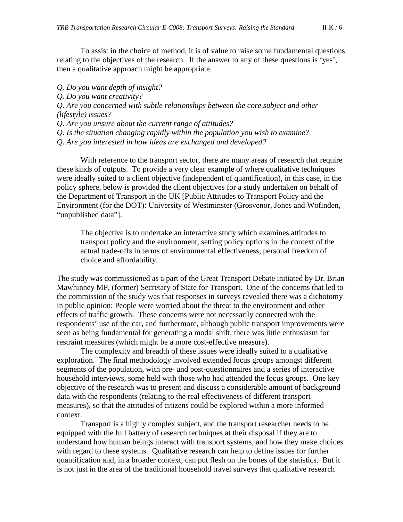To assist in the choice of method, it is of value to raise some fundamental questions relating to the objectives of the research. If the answer to any of these questions is 'yes', then a qualitative approach might be appropriate.

*Q. Do you want depth of insight?*

*Q. Do you want creativity?*

*Q. Are you concerned with subtle relationships between the core subject and other (lifestyle) issues?*

*Q. Are you unsure about the current range of attitudes?*

*Q. Is the situation changing rapidly within the population you wish to examine?*

*Q. Are you interested in how ideas are exchanged and developed?*

With reference to the transport sector, there are many areas of research that require these kinds of outputs. To provide a very clear example of where qualitative techniques were ideally suited to a client objective (independent of quantification), in this case, in the policy sphere, below is provided the client objectives for a study undertaken on behalf of the Department of Transport in the UK [Public Attitudes to Transport Policy and the Environment (for the DOT): University of Westminster (Grosvenor, Jones and Wofinden, "unpublished data"].

The objective is to undertake an interactive study which examines attitudes to transport policy and the environment, setting policy options in the context of the actual trade-offs in terms of environmental effectiveness, personal freedom of choice and affordability.

The study was commissioned as a part of the Great Transport Debate initiated by Dr. Brian Mawhinney MP, (former) Secretary of State for Transport. One of the concerns that led to the commission of the study was that responses in surveys revealed there was a dichotomy in public opinion: People were worried about the threat to the environment and other effects of traffic growth. These concerns were not necessarily connected with the respondents' use of the car, and furthermore, although public transport improvements were seen as being fundamental for generating a modal shift, there was little enthusiasm for restraint measures (which might be a more cost-effective measure).

The complexity and breadth of these issues were ideally suited to a qualitative exploration. The final methodology involved extended focus groups amongst different segments of the population, with pre- and post-questionnaires and a series of interactive household interviews, some held with those who had attended the focus groups. One key objective of the research was to present and discuss a considerable amount of background data with the respondents (relating to the real effectiveness of different transport measures), so that the attitudes of citizens could be explored within a more informed context.

Transport is a highly complex subject, and the transport researcher needs to be equipped with the full battery of research techniques at their disposal if they are to understand how human beings interact with transport systems, and how they make choices with regard to these systems. Qualitative research can help to define issues for further quantification and, in a broader context, can put flesh on the bones of the statistics. But it is not just in the area of the traditional household travel surveys that qualitative research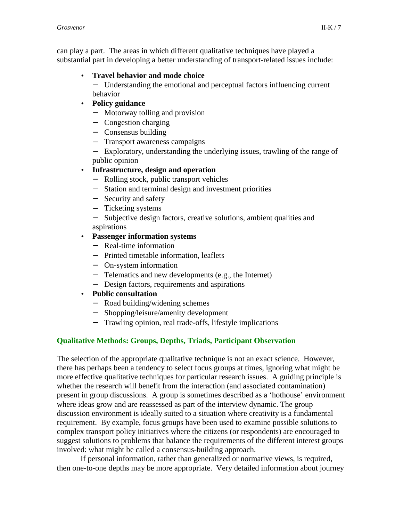can play a part. The areas in which different qualitative techniques have played a substantial part in developing a better understanding of transport-related issues include:

## • **Travel behavior and mode choice**

− Understanding the emotional and perceptual factors influencing current behavior

## • **Policy guidance**

- − Motorway tolling and provision
- − Congestion charging
- − Consensus building
- − Transport awareness campaigns

− Exploratory, understanding the underlying issues, trawling of the range of public opinion

## • **Infrastructure, design and operation**

- − Rolling stock, public transport vehicles
- − Station and terminal design and investment priorities
- − Security and safety
- − Ticketing systems
- − Subjective design factors, creative solutions, ambient qualities and aspirations

## • **Passenger information systems**

- − Real-time information
- − Printed timetable information, leaflets
- − On-system information
- − Telematics and new developments (e.g., the Internet)
- − Design factors, requirements and aspirations

## • **Public consultation**

- − Road building/widening schemes
- − Shopping/leisure/amenity development
- − Trawling opinion, real trade-offs, lifestyle implications

## **Qualitative Methods: Groups, Depths, Triads, Participant Observation**

The selection of the appropriate qualitative technique is not an exact science. However, there has perhaps been a tendency to select focus groups at times, ignoring what might be more effective qualitative techniques for particular research issues. A guiding principle is whether the research will benefit from the interaction (and associated contamination) present in group discussions. A group is sometimes described as a 'hothouse' environment where ideas grow and are reassessed as part of the interview dynamic. The group discussion environment is ideally suited to a situation where creativity is a fundamental requirement. By example, focus groups have been used to examine possible solutions to complex transport policy initiatives where the citizens (or respondents) are encouraged to suggest solutions to problems that balance the requirements of the different interest groups involved: what might be called a consensus-building approach.

If personal information, rather than generalized or normative views, is required, then one-to-one depths may be more appropriate. Very detailed information about journey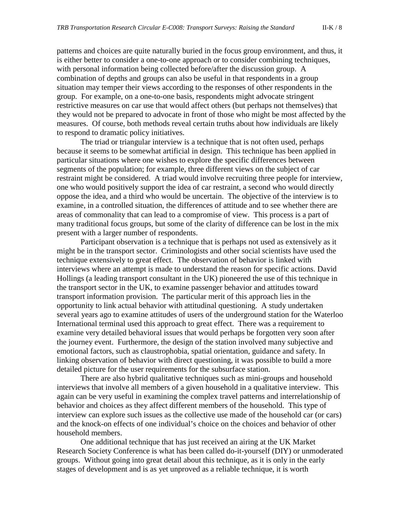patterns and choices are quite naturally buried in the focus group environment, and thus, it is either better to consider a one-to-one approach or to consider combining techniques, with personal information being collected before/after the discussion group. A combination of depths and groups can also be useful in that respondents in a group situation may temper their views according to the responses of other respondents in the group. For example, on a one-to-one basis, respondents might advocate stringent restrictive measures on car use that would affect others (but perhaps not themselves) that they would not be prepared to advocate in front of those who might be most affected by the measures. Of course, both methods reveal certain truths about how individuals are likely to respond to dramatic policy initiatives.

The triad or triangular interview is a technique that is not often used, perhaps because it seems to be somewhat artificial in design. This technique has been applied in particular situations where one wishes to explore the specific differences between segments of the population; for example, three different views on the subject of car restraint might be considered. A triad would involve recruiting three people for interview, one who would positively support the idea of car restraint, a second who would directly oppose the idea, and a third who would be uncertain. The objective of the interview is to examine, in a controlled situation, the differences of attitude and to see whether there are areas of commonality that can lead to a compromise of view. This process is a part of many traditional focus groups, but some of the clarity of difference can be lost in the mix present with a larger number of respondents.

Participant observation is a technique that is perhaps not used as extensively as it might be in the transport sector. Criminologists and other social scientists have used the technique extensively to great effect. The observation of behavior is linked with interviews where an attempt is made to understand the reason for specific actions. David Hollings (a leading transport consultant in the UK) pioneered the use of this technique in the transport sector in the UK, to examine passenger behavior and attitudes toward transport information provision. The particular merit of this approach lies in the opportunity to link actual behavior with attitudinal questioning. A study undertaken several years ago to examine attitudes of users of the underground station for the Waterloo International terminal used this approach to great effect. There was a requirement to examine very detailed behavioral issues that would perhaps be forgotten very soon after the journey event. Furthermore, the design of the station involved many subjective and emotional factors, such as claustrophobia, spatial orientation, guidance and safety. In linking observation of behavior with direct questioning, it was possible to build a more detailed picture for the user requirements for the subsurface station.

There are also hybrid qualitative techniques such as mini-groups and household interviews that involve all members of a given household in a qualitative interview. This again can be very useful in examining the complex travel patterns and interrelationship of behavior and choices as they affect different members of the household. This type of interview can explore such issues as the collective use made of the household car (or cars) and the knock-on effects of one individual's choice on the choices and behavior of other household members.

One additional technique that has just received an airing at the UK Market Research Society Conference is what has been called do-it-yourself (DIY) or unmoderated groups. Without going into great detail about this technique, as it is only in the early stages of development and is as yet unproved as a reliable technique, it is worth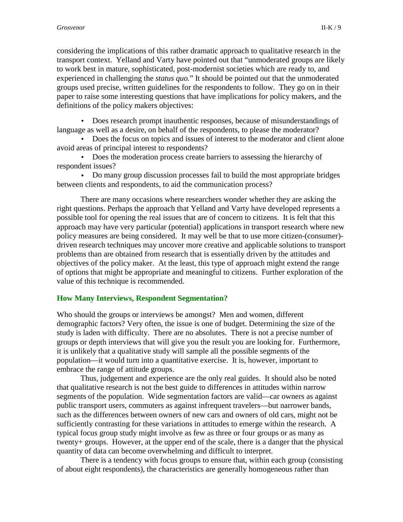considering the implications of this rather dramatic approach to qualitative research in the transport context. Yelland and Varty have pointed out that "unmoderated groups are likely to work best in mature, sophisticated, post-modernist societies which are ready to, and experienced in challenging the *status quo.*" It should be pointed out that the unmoderated groups used precise, written guidelines for the respondents to follow. They go on in their paper to raise some interesting questions that have implications for policy makers, and the definitions of the policy makers objectives:

• Does research prompt inauthentic responses, because of misunderstandings of language as well as a desire, on behalf of the respondents, to please the moderator?

• Does the focus on topics and issues of interest to the moderator and client alone avoid areas of principal interest to respondents?

• Does the moderation process create barriers to assessing the hierarchy of respondent issues?

• Do many group discussion processes fail to build the most appropriate bridges between clients and respondents, to aid the communication process?

There are many occasions where researchers wonder whether they are asking the right questions. Perhaps the approach that Yelland and Varty have developed represents a possible tool for opening the real issues that are of concern to citizens. It is felt that this approach may have very particular (potential) applications in transport research where new policy measures are being considered. It may well be that to use more citizen-(consumer) driven research techniques may uncover more creative and applicable solutions to transport problems than are obtained from research that is essentially driven by the attitudes and objectives of the policy maker. At the least, this type of approach might extend the range of options that might be appropriate and meaningful to citizens. Further exploration of the value of this technique is recommended.

## **How Many Interviews, Respondent Segmentation?**

Who should the groups or interviews be amongst? Men and women, different demographic factors? Very often, the issue is one of budget. Determining the size of the study is laden with difficulty. There are no absolutes. There is not a precise number of groups or depth interviews that will give you the result you are looking for. Furthermore, it is unlikely that a qualitative study will sample all the possible segments of the population—it would turn into a quantitative exercise. It is, however, important to embrace the range of attitude groups.

Thus, judgement and experience are the only real guides. It should also be noted that qualitative research is not the best guide to differences in attitudes within narrow segments of the population. Wide segmentation factors are valid—car owners as against public transport users, commuters as against infrequent travelers—but narrower bands, such as the differences between owners of new cars and owners of old cars, might not be sufficiently contrasting for these variations in attitudes to emerge within the research. A typical focus group study might involve as few as three or four groups or as many as twenty+ groups. However, at the upper end of the scale, there is a danger that the physical quantity of data can become overwhelming and difficult to interpret.

There is a tendency with focus groups to ensure that, within each group (consisting of about eight respondents), the characteristics are generally homogeneous rather than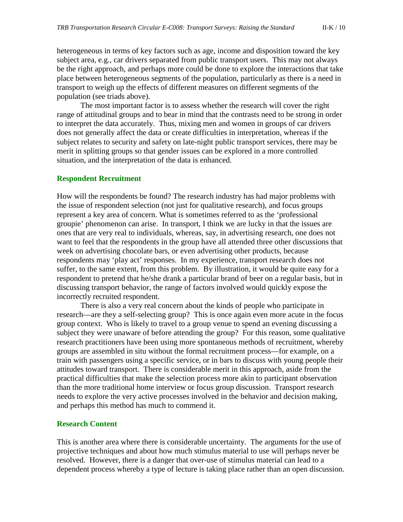heterogeneous in terms of key factors such as age, income and disposition toward the key subject area, e.g., car drivers separated from public transport users. This may not always be the right approach, and perhaps more could be done to explore the interactions that take place between heterogeneous segments of the population, particularly as there is a need in transport to weigh up the effects of different measures on different segments of the population (see triads above).

The most important factor is to assess whether the research will cover the right range of attitudinal groups and to bear in mind that the contrasts need to be strong in order to interpret the data accurately. Thus, mixing men and women in groups of car drivers does not generally affect the data or create difficulties in interpretation, whereas if the subject relates to security and safety on late-night public transport services, there may be merit in splitting groups so that gender issues can be explored in a more controlled situation, and the interpretation of the data is enhanced.

#### **Respondent Recruitment**

How will the respondents be found? The research industry has had major problems with the issue of respondent selection (not just for qualitative research), and focus groups represent a key area of concern. What is sometimes referred to as the 'professional groupie' phenomenon can arise. In transport, I think we are lucky in that the issues are ones that are very real to individuals, whereas, say, in advertising research, one does not want to feel that the respondents in the group have all attended three other discussions that week on advertising chocolate bars, or even advertising other products, because respondents may 'play act' responses. In my experience, transport research does not suffer, to the same extent, from this problem. By illustration, it would be quite easy for a respondent to pretend that he/she drank a particular brand of beer on a regular basis, but in discussing transport behavior, the range of factors involved would quickly expose the incorrectly recruited respondent.

There is also a very real concern about the kinds of people who participate in research—are they a self-selecting group? This is once again even more acute in the focus group context. Who is likely to travel to a group venue to spend an evening discussing a subject they were unaware of before attending the group? For this reason, some qualitative research practitioners have been using more spontaneous methods of recruitment, whereby groups are assembled in situ without the formal recruitment process—for example, on a train with passengers using a specific service, or in bars to discuss with young people their attitudes toward transport. There is considerable merit in this approach, aside from the practical difficulties that make the selection process more akin to participant observation than the more traditional home interview or focus group discussion. Transport research needs to explore the very active processes involved in the behavior and decision making, and perhaps this method has much to commend it.

#### **Research Content**

This is another area where there is considerable uncertainty. The arguments for the use of projective techniques and about how much stimulus material to use will perhaps never be resolved. However, there is a danger that over-use of stimulus material can lead to a dependent process whereby a type of lecture is taking place rather than an open discussion.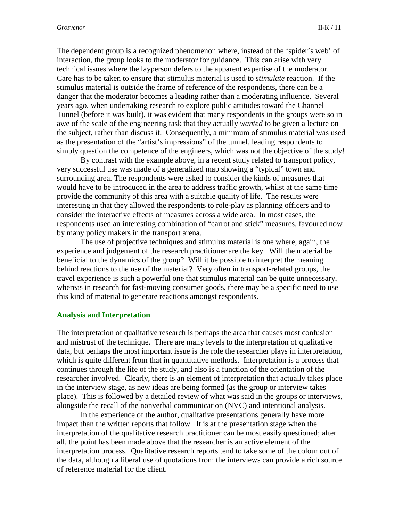The dependent group is a recognized phenomenon where, instead of the 'spider's web' of interaction, the group looks to the moderator for guidance. This can arise with very technical issues where the layperson defers to the apparent expertise of the moderator. Care has to be taken to ensure that stimulus material is used to *stimulate* reaction. If the stimulus material is outside the frame of reference of the respondents, there can be a danger that the moderator becomes a leading rather than a moderating influence. Several years ago, when undertaking research to explore public attitudes toward the Channel Tunnel (before it was built), it was evident that many respondents in the groups were so in awe of the scale of the engineering task that they actually *wanted* to be given a lecture on the subject, rather than discuss it. Consequently, a minimum of stimulus material was used as the presentation of the "artist's impressions" of the tunnel, leading respondents to simply question the competence of the engineers, which was not the objective of the study!

 By contrast with the example above, in a recent study related to transport policy, very successful use was made of a generalized map showing a "typical" town and surrounding area. The respondents were asked to consider the kinds of measures that would have to be introduced in the area to address traffic growth, whilst at the same time provide the community of this area with a suitable quality of life. The results were interesting in that they allowed the respondents to role-play as planning officers and to consider the interactive effects of measures across a wide area. In most cases, the respondents used an interesting combination of "carrot and stick" measures, favoured now by many policy makers in the transport arena.

The use of projective techniques and stimulus material is one where, again, the experience and judgement of the research practitioner are the key. Will the material be beneficial to the dynamics of the group? Will it be possible to interpret the meaning behind reactions to the use of the material? Very often in transport-related groups, the travel experience is such a powerful one that stimulus material can be quite unnecessary, whereas in research for fast-moving consumer goods, there may be a specific need to use this kind of material to generate reactions amongst respondents.

#### **Analysis and Interpretation**

The interpretation of qualitative research is perhaps the area that causes most confusion and mistrust of the technique. There are many levels to the interpretation of qualitative data, but perhaps the most important issue is the role the researcher plays in interpretation, which is quite different from that in quantitative methods. Interpretation is a process that continues through the life of the study, and also is a function of the orientation of the researcher involved. Clearly, there is an element of interpretation that actually takes place in the interview stage, as new ideas are being formed (as the group or interview takes place). This is followed by a detailed review of what was said in the groups or interviews, alongside the recall of the nonverbal communication (NVC) and intentional analysis.

In the experience of the author, qualitative presentations generally have more impact than the written reports that follow. It is at the presentation stage when the interpretation of the qualitative research practitioner can be most easily questioned; after all, the point has been made above that the researcher is an active element of the interpretation process. Qualitative research reports tend to take some of the colour out of the data, although a liberal use of quotations from the interviews can provide a rich source of reference material for the client.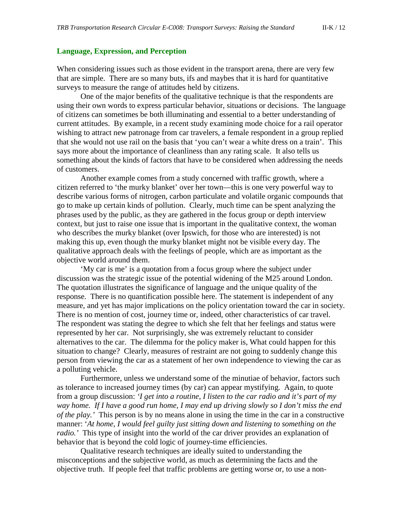#### **Language, Expression, and Perception**

When considering issues such as those evident in the transport arena, there are very few that are simple. There are so many buts, ifs and maybes that it is hard for quantitative surveys to measure the range of attitudes held by citizens.

One of the major benefits of the qualitative technique is that the respondents are using their own words to express particular behavior, situations or decisions. The language of citizens can sometimes be both illuminating and essential to a better understanding of current attitudes. By example, in a recent study examining mode choice for a rail operator wishing to attract new patronage from car travelers, a female respondent in a group replied that she would not use rail on the basis that 'you can't wear a white dress on a train'. This says more about the importance of cleanliness than any rating scale. It also tells us something about the kinds of factors that have to be considered when addressing the needs of customers.

Another example comes from a study concerned with traffic growth, where a citizen referred to 'the murky blanket' over her town—this is one very powerful way to describe various forms of nitrogen, carbon particulate and volatile organic compounds that go to make up certain kinds of pollution. Clearly, much time can be spent analyzing the phrases used by the public, as they are gathered in the focus group or depth interview context, but just to raise one issue that is important in the qualitative context, the woman who describes the murky blanket (over Ipswich, for those who are interested) is not making this up, even though the murky blanket might not be visible every day. The qualitative approach deals with the feelings of people, which are as important as the objective world around them.

'My car is me' is a quotation from a focus group where the subject under discussion was the strategic issue of the potential widening of the M25 around London. The quotation illustrates the significance of language and the unique quality of the response. There is no quantification possible here. The statement is independent of any measure, and yet has major implications on the policy orientation toward the car in society. There is no mention of cost, journey time or, indeed, other characteristics of car travel. The respondent was stating the degree to which she felt that her feelings and status were represented by her car. Not surprisingly, she was extremely reluctant to consider alternatives to the car. The dilemma for the policy maker is, What could happen for this situation to change? Clearly, measures of restraint are not going to suddenly change this person from viewing the car as a statement of her own independence to viewing the car as a polluting vehicle.

Furthermore, unless we understand some of the minutiae of behavior, factors such as tolerance to increased journey times (by car) can appear mystifying. Again, to quote from a group discussion: *'I get into a routine, I listen to the car radio and it's part of my way home. If I have a good run home, I may end up driving slowly so I don't miss the end of the play.'* This person is by no means alone in using the time in the car in a constructive manner: '*At home, I would feel guilty just sitting down and listening to something on the radio.'* This type of insight into the world of the car driver provides an explanation of behavior that is beyond the cold logic of journey-time efficiencies.

Qualitative research techniques are ideally suited to understanding the misconceptions and the subjective world, as much as determining the facts and the objective truth. If people feel that traffic problems are getting worse or, to use a non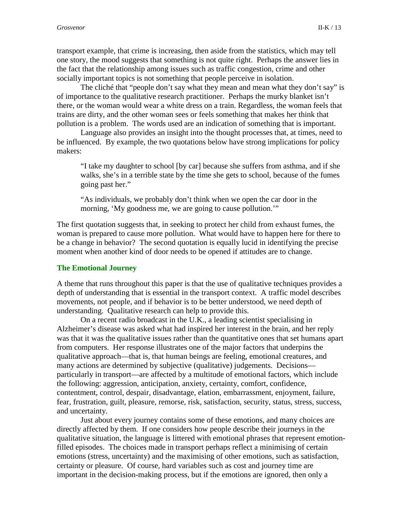transport example, that crime is increasing, then aside from the statistics, which may tell one story, the mood suggests that something is not quite right. Perhaps the answer lies in the fact that the relationship among issues such as traffic congestion, crime and other socially important topics is not something that people perceive in isolation.

The cliché that "people don't say what they mean and mean what they don't say" is of importance to the qualitative research practitioner. Perhaps the murky blanket isn't there, or the woman would wear a white dress on a train. Regardless, the woman feels that trains are dirty, and the other woman sees or feels something that makes her think that pollution is a problem. The words used are an indication of something that is important.

Language also provides an insight into the thought processes that, at times, need to be influenced. By example, the two quotations below have strong implications for policy makers:

"I take my daughter to school [by car] because she suffers from asthma, and if she walks, she's in a terrible state by the time she gets to school, because of the fumes going past her."

"As individuals, we probably don't think when we open the car door in the morning, 'My goodness me, we are going to cause pollution.'"

The first quotation suggests that, in seeking to protect her child from exhaust fumes, the woman is prepared to cause more pollution. What would have to happen here for there to be a change in behavior? The second quotation is equally lucid in identifying the precise moment when another kind of door needs to be opened if attitudes are to change.

#### **The Emotional Journey**

A theme that runs throughout this paper is that the use of qualitative techniques provides a depth of understanding that is essential in the transport context. A traffic model describes movements, not people, and if behavior is to be better understood, we need depth of understanding. Qualitative research can help to provide this.

On a recent radio broadcast in the U.K., a leading scientist specialising in Alzheimer's disease was asked what had inspired her interest in the brain, and her reply was that it was the qualitative issues rather than the quantitative ones that set humans apart from computers. Her response illustrates one of the major factors that underpins the qualitative approach—that is, that human beings are feeling, emotional creatures, and many actions are determined by subjective (qualitative) judgements. Decisions particularly in transport—are affected by a multitude of emotional factors, which include the following: aggression, anticipation, anxiety, certainty, comfort, confidence, contentment, control, despair, disadvantage, elation, embarrassment, enjoyment, failure, fear, frustration, guilt, pleasure, remorse, risk, satisfaction, security, status, stress, success, and uncertainty.

Just about every journey contains some of these emotions, and many choices are directly affected by them. If one considers how people describe their journeys in the qualitative situation, the language is littered with emotional phrases that represent emotionfilled episodes. The choices made in transport perhaps reflect a minimising of certain emotions (stress, uncertainty) and the maximising of other emotions, such as satisfaction, certainty or pleasure. Of course, hard variables such as cost and journey time are important in the decision-making process, but if the emotions are ignored, then only a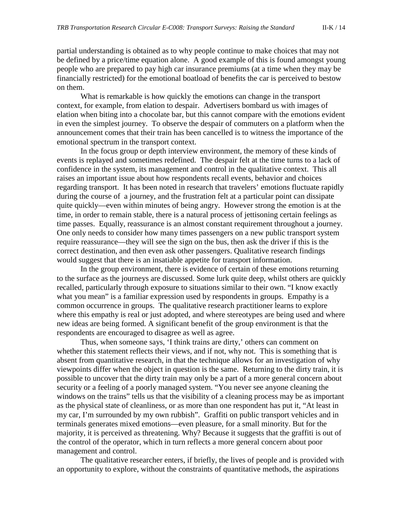partial understanding is obtained as to why people continue to make choices that may not be defined by a price/time equation alone. A good example of this is found amongst young people who are prepared to pay high car insurance premiums (at a time when they may be financially restricted) for the emotional boatload of benefits the car is perceived to bestow on them.

What is remarkable is how quickly the emotions can change in the transport context, for example, from elation to despair. Advertisers bombard us with images of elation when biting into a chocolate bar, but this cannot compare with the emotions evident in even the simplest journey. To observe the despair of commuters on a platform when the announcement comes that their train has been cancelled is to witness the importance of the emotional spectrum in the transport context.

In the focus group or depth interview environment, the memory of these kinds of events is replayed and sometimes redefined. The despair felt at the time turns to a lack of confidence in the system, its management and control in the qualitative context. This all raises an important issue about how respondents recall events, behavior and choices regarding transport. It has been noted in research that travelers' emotions fluctuate rapidly during the course of a journey, and the frustration felt at a particular point can dissipate quite quickly—even within minutes of being angry. However strong the emotion is at the time, in order to remain stable, there is a natural process of jettisoning certain feelings as time passes. Equally, reassurance is an almost constant requirement throughout a journey. One only needs to consider how many times passengers on a new public transport system require reassurance—they will see the sign on the bus, then ask the driver if this is the correct destination, and then even ask other passengers. Qualitative research findings would suggest that there is an insatiable appetite for transport information.

In the group environment, there is evidence of certain of these emotions returning to the surface as the journeys are discussed. Some lurk quite deep, whilst others are quickly recalled, particularly through exposure to situations similar to their own. "I know exactly what you mean" is a familiar expression used by respondents in groups. Empathy is a common occurrence in groups. The qualitative research practitioner learns to explore where this empathy is real or just adopted, and where stereotypes are being used and where new ideas are being formed. A significant benefit of the group environment is that the respondents are encouraged to disagree as well as agree.

Thus, when someone says, 'I think trains are dirty,' others can comment on whether this statement reflects their views, and if not, why not. This is something that is absent from quantitative research, in that the technique allows for an investigation of why viewpoints differ when the object in question is the same. Returning to the dirty train, it is possible to uncover that the dirty train may only be a part of a more general concern about security or a feeling of a poorly managed system. "You never see anyone cleaning the windows on the trains" tells us that the visibility of a cleaning process may be as important as the physical state of cleanliness, or as more than one respondent has put it, "At least in my car, I'm surrounded by my own rubbish". Graffiti on public transport vehicles and in terminals generates mixed emotions—even pleasure, for a small minority. But for the majority, it is perceived as threatening. Why? Because it suggests that the graffiti is out of the control of the operator, which in turn reflects a more general concern about poor management and control.

The qualitative researcher enters, if briefly, the lives of people and is provided with an opportunity to explore, without the constraints of quantitative methods, the aspirations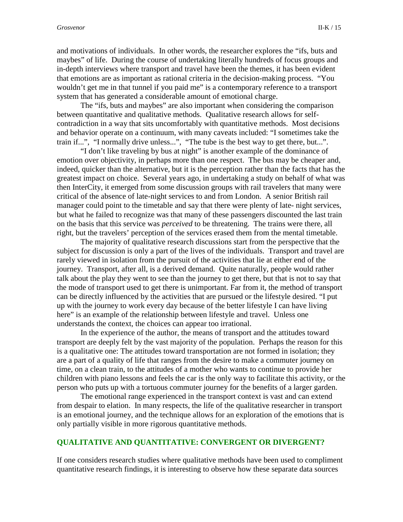and motivations of individuals. In other words, the researcher explores the "ifs, buts and maybes" of life. During the course of undertaking literally hundreds of focus groups and in-depth interviews where transport and travel have been the themes, it has been evident that emotions are as important as rational criteria in the decision-making process. "You wouldn't get me in that tunnel if you paid me" is a contemporary reference to a transport system that has generated a considerable amount of emotional charge.

The "ifs, buts and maybes" are also important when considering the comparison between quantitative and qualitative methods. Qualitative research allows for selfcontradiction in a way that sits uncomfortably with quantitative methods. Most decisions and behavior operate on a continuum, with many caveats included: "I sometimes take the train if...", "I normally drive unless...", "The tube is the best way to get there, but...".

"I don't like traveling by bus at night" is another example of the dominance of emotion over objectivity, in perhaps more than one respect. The bus may be cheaper and, indeed, quicker than the alternative, but it is the perception rather than the facts that has the greatest impact on choice. Several years ago, in undertaking a study on behalf of what was then InterCity, it emerged from some discussion groups with rail travelers that many were critical of the absence of late-night services to and from London. A senior British rail manager could point to the timetable and say that there were plenty of late- night services, but what he failed to recognize was that many of these passengers discounted the last train on the basis that this service was *perceived* to be threatening. The trains were there, all right, but the travelers' perception of the services erased them from the mental timetable.

The majority of qualitative research discussions start from the perspective that the subject for discussion is only a part of the lives of the individuals. Transport and travel are rarely viewed in isolation from the pursuit of the activities that lie at either end of the journey. Transport, after all, is a derived demand. Quite naturally, people would rather talk about the play they went to see than the journey to get there, but that is not to say that the mode of transport used to get there is unimportant. Far from it, the method of transport can be directly influenced by the activities that are pursued or the lifestyle desired. "I put up with the journey to work every day because of the better lifestyle I can have living here" is an example of the relationship between lifestyle and travel. Unless one understands the context, the choices can appear too irrational.

In the experience of the author, the means of transport and the attitudes toward transport are deeply felt by the vast majority of the population. Perhaps the reason for this is a qualitative one: The attitudes toward transportation are not formed in isolation; they are a part of a quality of life that ranges from the desire to make a commuter journey on time, on a clean train, to the attitudes of a mother who wants to continue to provide her children with piano lessons and feels the car is the only way to facilitate this activity, or the person who puts up with a tortuous commuter journey for the benefits of a larger garden.

The emotional range experienced in the transport context is vast and can extend from despair to elation. In many respects, the life of the qualitative researcher in transport is an emotional journey, and the technique allows for an exploration of the emotions that is only partially visible in more rigorous quantitative methods.

#### **QUALITATIVE AND QUANTITATIVE: CONVERGENT OR DIVERGENT?**

If one considers research studies where qualitative methods have been used to compliment quantitative research findings, it is interesting to observe how these separate data sources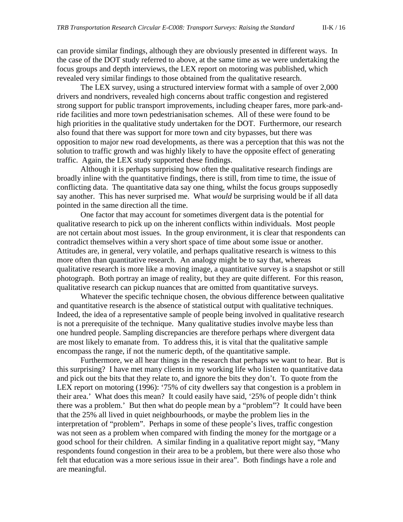can provide similar findings, although they are obviously presented in different ways. In the case of the DOT study referred to above, at the same time as we were undertaking the focus groups and depth interviews, the LEX report on motoring was published, which revealed very similar findings to those obtained from the qualitative research.

The LEX survey, using a structured interview format with a sample of over 2,000 drivers and nondrivers, revealed high concerns about traffic congestion and registered strong support for public transport improvements, including cheaper fares, more park-andride facilities and more town pedestrianisation schemes. All of these were found to be high priorities in the qualitative study undertaken for the DOT. Furthermore, our research also found that there was support for more town and city bypasses, but there was opposition to major new road developments, as there was a perception that this was not the solution to traffic growth and was highly likely to have the opposite effect of generating traffic. Again, the LEX study supported these findings.

Although it is perhaps surprising how often the qualitative research findings are broadly inline with the quantitative findings, there is still, from time to time, the issue of conflicting data. The quantitative data say one thing, whilst the focus groups supposedly say another. This has never surprised me. What *would* be surprising would be if all data pointed in the same direction all the time.

One factor that may account for sometimes divergent data is the potential for qualitative research to pick up on the inherent conflicts within individuals. Most people are not certain about most issues. In the group environment, it is clear that respondents can contradict themselves within a very short space of time about some issue or another. Attitudes are, in general, very volatile, and perhaps qualitative research is witness to this more often than quantitative research. An analogy might be to say that, whereas qualitative research is more like a moving image, a quantitative survey is a snapshot or still photograph. Both portray an image of reality, but they are quite different. For this reason, qualitative research can pickup nuances that are omitted from quantitative surveys.

Whatever the specific technique chosen, the obvious difference between qualitative and quantitative research is the absence of statistical output with qualitative techniques. Indeed, the idea of a representative sample of people being involved in qualitative research is not a prerequisite of the technique. Many qualitative studies involve maybe less than one hundred people. Sampling discrepancies are therefore perhaps where divergent data are most likely to emanate from. To address this, it is vital that the qualitative sample encompass the range, if not the numeric depth, of the quantitative sample.

Furthermore, we all hear things in the research that perhaps we want to hear. But is this surprising? I have met many clients in my working life who listen to quantitative data and pick out the bits that they relate to, and ignore the bits they don't. To quote from the LEX report on motoring (1996): '75% of city dwellers say that congestion is a problem in their area.' What does this mean? It could easily have said, '25% of people didn't think there was a problem.' But then what do people mean by a "problem"? It could have been that the 25% all lived in quiet neighbourhoods, or maybe the problem lies in the interpretation of "problem". Perhaps in some of these people's lives, traffic congestion was not seen as a problem when compared with finding the money for the mortgage or a good school for their children. A similar finding in a qualitative report might say, "Many respondents found congestion in their area to be a problem, but there were also those who felt that education was a more serious issue in their area". Both findings have a role and are meaningful.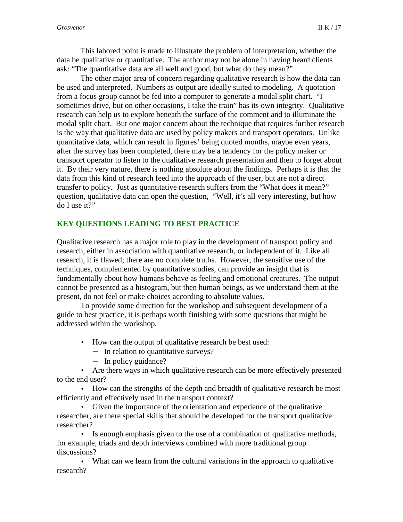This labored point is made to illustrate the problem of interpretation, whether the data be qualitative or quantitative. The author may not be alone in having heard clients ask: "The quantitative data are all well and good, but what do they mean?"

The other major area of concern regarding qualitative research is how the data can be used and interpreted. Numbers as output are ideally suited to modeling. A quotation from a focus group cannot be fed into a computer to generate a modal split chart. "I sometimes drive, but on other occasions, I take the train" has its own integrity. Qualitative research can help us to explore beneath the surface of the comment and to illuminate the modal split chart. But one major concern about the technique that requires further research is the way that qualitative data are used by policy makers and transport operators. Unlike quantitative data, which can result in figures' being quoted months, maybe even years, after the survey has been completed, there may be a tendency for the policy maker or transport operator to listen to the qualitative research presentation and then to forget about it. By their very nature, there is nothing absolute about the findings. Perhaps it is that the data from this kind of research feed into the approach of the user, but are not a direct transfer to policy. Just as quantitative research suffers from the "What does it mean?" question, qualitative data can open the question, "Well, it's all very interesting, but how do I use it?"

## **KEY QUESTIONS LEADING TO BEST PRACTICE**

Qualitative research has a major role to play in the development of transport policy and research, either in association with quantitative research, or independent of it. Like all research, it is flawed; there are no complete truths. However, the sensitive use of the techniques, complemented by quantitative studies, can provide an insight that is fundamentally about how humans behave as feeling and emotional creatures. The output cannot be presented as a histogram, but then human beings, as we understand them at the present, do not feel or make choices according to absolute values.

To provide some direction for the workshop and subsequent development of a guide to best practice, it is perhaps worth finishing with some questions that might be addressed within the workshop.

- How can the output of qualitative research be best used:
	- − In relation to quantitative surveys?
	- − In policy guidance?

• Are there ways in which qualitative research can be more effectively presented to the end user?

• How can the strengths of the depth and breadth of qualitative research be most efficiently and effectively used in the transport context?

• Given the importance of the orientation and experience of the qualitative researcher, are there special skills that should be developed for the transport qualitative researcher?

• Is enough emphasis given to the use of a combination of qualitative methods, for example, triads and depth interviews combined with more traditional group discussions?

• What can we learn from the cultural variations in the approach to qualitative research?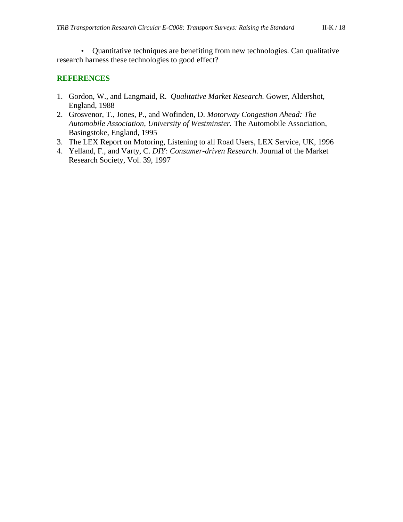• Quantitative techniques are benefiting from new technologies. Can qualitative research harness these technologies to good effect?

#### **REFERENCES**

- 1. Gordon, W., and Langmaid, R. *Qualitative Market Research.* Gower, Aldershot, England, 1988
- 2. Grosvenor, T., Jones, P., and Wofinden, D. *Motorway Congestion Ahead: The Automobile Association, University of Westminster.* The Automobile Association, Basingstoke, England, 1995
- 3. The LEX Report on Motoring, Listening to all Road Users, LEX Service, UK, 1996
- 4. Yelland, F., and Varty, C. *DIY: Consumer-driven Research.* Journal of the Market Research Society, Vol. 39, 1997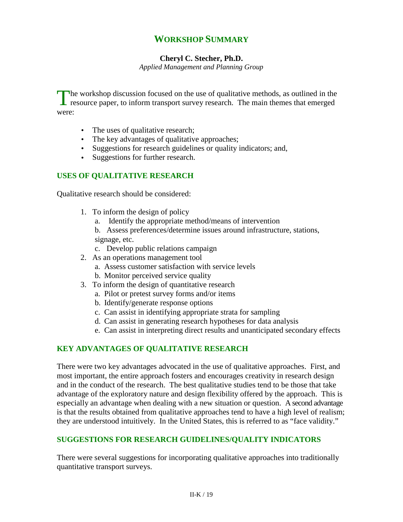# **WORKSHOP SUMMARY**

## **Cheryl C. Stecher, Ph.D.**

*Applied Management and Planning Group*

The workshop discussion focused on the use of qualitative methods, as outlined in the resource paper, to inform transport survey research. The main themes that emerged  $\mathsf{\mathsf{L}}$  resource paper, to inform transport survey research. The main themes that emerged were:

- The uses of qualitative research;
- The key advantages of qualitative approaches;
- Suggestions for research guidelines or quality indicators; and,
- Suggestions for further research.

## **USES OF QUALITATIVE RESEARCH**

Qualitative research should be considered:

- 1. To inform the design of policy
	- a. Identify the appropriate method/means of intervention
	- b. Assess preferences/determine issues around infrastructure, stations, signage, etc.
	- c. Develop public relations campaign
- 2. As an operations management tool
	- a. Assess customer satisfaction with service levels
	- b. Monitor perceived service quality
- 3. To inform the design of quantitative research
	- a. Pilot or pretest survey forms and/or items
	- b. Identify/generate response options
	- c. Can assist in identifying appropriate strata for sampling
	- d. Can assist in generating research hypotheses for data analysis
	- e. Can assist in interpreting direct results and unanticipated secondary effects

## **KEY ADVANTAGES OF QUALITATIVE RESEARCH**

There were two key advantages advocated in the use of qualitative approaches. First, and most important, the entire approach fosters and encourages creativity in research design and in the conduct of the research. The best qualitative studies tend to be those that take advantage of the exploratory nature and design flexibility offered by the approach. This is especially an advantage when dealing with a new situation or question. A second advantage is that the results obtained from qualitative approaches tend to have a high level of realism; they are understood intuitively. In the United States, this is referred to as "face validity."

## **SUGGESTIONS FOR RESEARCH GUIDELINES/QUALITY INDICATORS**

There were several suggestions for incorporating qualitative approaches into traditionally quantitative transport surveys.